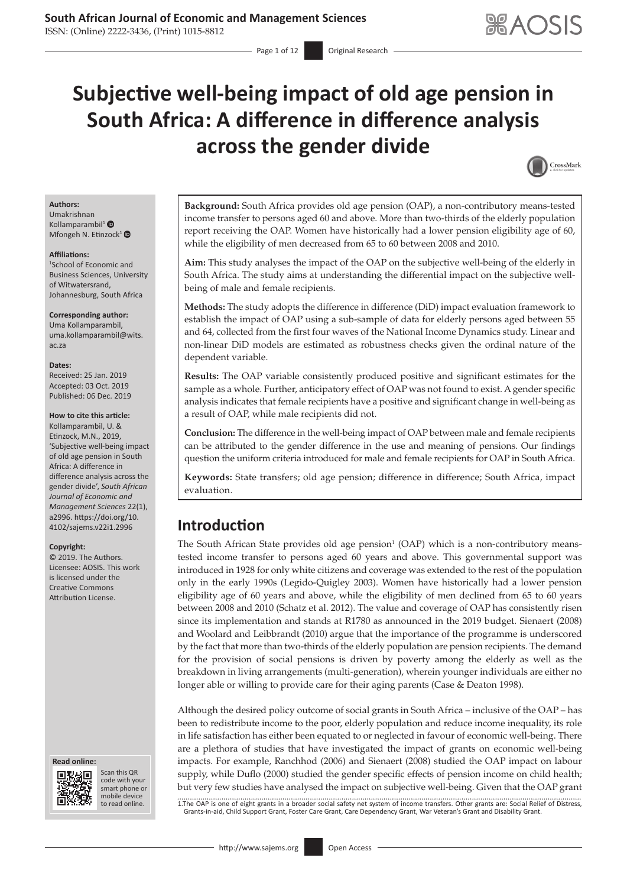ISSN: (Online) 2222-3436, (Print) 1015-8812

# **Subjective well-being impact of old age pension in South Africa: A difference in difference analysis across the gender divide**



### **Authors:**

Umakrishnan Kollamparambil<sup>[1](http://orcid.org/0000-0002-6201-1923)</sup> $\bullet$ Mfongeh N. Etinzock<sup>[1](http://orcid.org/0000-0002-6709-6508)</sup> <sup>®</sup>

#### **Affiliations:**

1 School of Economic and Business Sciences, University of Witwatersrand, Johannesburg, South Africa

#### **Corresponding author:** Uma Kollamparambil, [uma.kollamparambil@wits.](mailto:uma.kollamparambil@wits.ac.za) [ac.za](mailto:uma.kollamparambil@wits.ac.za)

#### **Dates:**

Received: 25 Jan. 2019 Accepted: 03 Oct. 2019 Published: 06 Dec. 2019

#### **How to cite this article:**

Kollamparambil, U. & Etinzock, M.N., 2019, 'Subjective well-being impact of old age pension in South Africa: A difference in difference analysis across the gender divide', *South African Journal of Economic and Management Sciences* 22(1), a2996. [https://doi.org/10.](https://doi.org/10.4102/sajems.v22i1.2996) [4102/sajems.v22i1.2996](https://doi.org/10.4102/sajems.v22i1.2996)

#### **Copyright:**

© 2019. The Authors. Licensee: AOSIS. This work is licensed under the Creative Commons Attribution License.

#### **Read online: Read online:**



Scan this QR Scan this QR code with your smart phone or code with your smart phone or mobile device mobile device to read online. to read online.

**Background:** South Africa provides old age pension (OAP), a non-contributory means-tested income transfer to persons aged 60 and above. More than two-thirds of the elderly population report receiving the OAP. Women have historically had a lower pension eligibility age of 60, while the eligibility of men decreased from 65 to 60 between 2008 and 2010.

**Aim:** This study analyses the impact of the OAP on the subjective well-being of the elderly in South Africa. The study aims at understanding the differential impact on the subjective wellbeing of male and female recipients.

**Methods:** The study adopts the difference in difference (DiD) impact evaluation framework to establish the impact of OAP using a sub-sample of data for elderly persons aged between 55 and 64, collected from the first four waves of the National Income Dynamics study. Linear and non-linear DiD models are estimated as robustness checks given the ordinal nature of the dependent variable.

**Results:** The OAP variable consistently produced positive and significant estimates for the sample as a whole. Further, anticipatory effect of OAP was not found to exist. A gender specific analysis indicates that female recipients have a positive and significant change in well-being as a result of OAP, while male recipients did not.

**Conclusion:** The difference in the well-being impact of OAP between male and female recipients can be attributed to the gender difference in the use and meaning of pensions. Our findings question the uniform criteria introduced for male and female recipients for OAP in South Africa.

**Keywords:** State transfers; old age pension; difference in difference; South Africa, impact evaluation.

# **Introduction**

The South African State provides old age  $pension<sup>1</sup> (OAP)$  which is a non-contributory meanstested income transfer to persons aged 60 years and above. This governmental support was introduced in 1928 for only white citizens and coverage was extended to the rest of the population only in the early 1990s (Legido-Quigley 2003). Women have historically had a lower pension eligibility age of 60 years and above, while the eligibility of men declined from 65 to 60 years between 2008 and 2010 (Schatz et al. 2012). The value and coverage of OAP has consistently risen since its implementation and stands at R1780 as announced in the 2019 budget. Sienaert (2008) and Woolard and Leibbrandt (2010) argue that the importance of the programme is underscored by the fact that more than two-thirds of the elderly population are pension recipients. The demand for the provision of social pensions is driven by poverty among the elderly as well as the breakdown in living arrangements (multi-generation), wherein younger individuals are either no longer able or willing to provide care for their aging parents (Case & Deaton 1998).

Although the desired policy outcome of social grants in South Africa – inclusive of the OAP – has been to redistribute income to the poor, elderly population and reduce income inequality, its role in life satisfaction has either been equated to or neglected in favour of economic well-being. There are a plethora of studies that have investigated the impact of grants on economic well-being impacts. For example, Ranchhod (2006) and Sienaert (2008) studied the OAP impact on labour supply, while Duflo (2000) studied the gender specific effects of pension income on child health; but very few studies have analysed the impact on subjective well-being. Given that the OAP grant

1.The OAP is one of eight grants in a broader social safety net system of income transfers. Other grants are: Social Relief of Distress, Grants-in-aid, Child Support Grant, Foster Care Grant, Care Dependency Grant, War Vet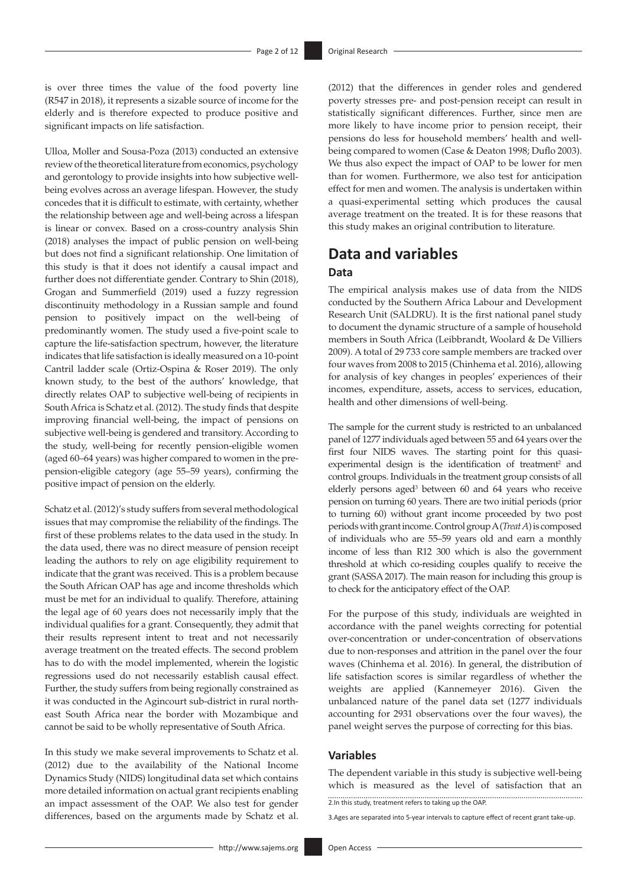is over three times the value of the food poverty line (R547 in 2018), it represents a sizable source of income for the elderly and is therefore expected to produce positive and significant impacts on life satisfaction.

Ulloa, Moller and Sousa-Poza (2013) conducted an extensive review of the theoretical literature from economics, psychology and gerontology to provide insights into how subjective wellbeing evolves across an average lifespan. However, the study concedes that it is difficult to estimate, with certainty, whether the relationship between age and well-being across a lifespan is linear or convex. Based on a cross-country analysis Shin (2018) analyses the impact of public pension on well-being but does not find a significant relationship. One limitation of this study is that it does not identify a causal impact and further does not differentiate gender. Contrary to Shin (2018), Grogan and Summerfield (2019) used a fuzzy regression discontinuity methodology in a Russian sample and found pension to positively impact on the well-being of predominantly women. The study used a five-point scale to capture the life-satisfaction spectrum, however, the literature indicates that life satisfaction is ideally measured on a 10-point Cantril ladder scale (Ortiz-Ospina & Roser 2019). The only known study, to the best of the authors' knowledge, that directly relates OAP to subjective well-being of recipients in South Africa is Schatz et al. (2012). The study finds that despite improving financial well-being, the impact of pensions on subjective well-being is gendered and transitory. According to the study, well-being for recently pension-eligible women (aged 60–64 years) was higher compared to women in the prepension-eligible category (age 55–59 years), confirming the positive impact of pension on the elderly.

Schatz et al. (2012)'s study suffers from several methodological issues that may compromise the reliability of the findings. The first of these problems relates to the data used in the study. In the data used, there was no direct measure of pension receipt leading the authors to rely on age eligibility requirement to indicate that the grant was received. This is a problem because the South African OAP has age and income thresholds which must be met for an individual to qualify. Therefore, attaining the legal age of 60 years does not necessarily imply that the individual qualifies for a grant. Consequently, they admit that their results represent intent to treat and not necessarily average treatment on the treated effects. The second problem has to do with the model implemented, wherein the logistic regressions used do not necessarily establish causal effect. Further, the study suffers from being regionally constrained as it was conducted in the Agincourt sub-district in rural northeast South Africa near the border with Mozambique and cannot be said to be wholly representative of South Africa.

In this study we make several improvements to Schatz et al. (2012) due to the availability of the National Income Dynamics Study (NIDS) longitudinal data set which contains more detailed information on actual grant recipients enabling an impact assessment of the OAP. We also test for gender differences, based on the arguments made by Schatz et al. (2012) that the differences in gender roles and gendered poverty stresses pre- and post-pension receipt can result in statistically significant differences. Further, since men are more likely to have income prior to pension receipt, their pensions do less for household members' health and wellbeing compared to women (Case & Deaton 1998; Duflo 2003). We thus also expect the impact of OAP to be lower for men than for women. Furthermore, we also test for anticipation effect for men and women. The analysis is undertaken within a quasi-experimental setting which produces the causal average treatment on the treated. It is for these reasons that this study makes an original contribution to literature.

# **Data and variables**

# **Data**

The empirical analysis makes use of data from the NIDS conducted by the Southern Africa Labour and Development Research Unit (SALDRU). It is the first national panel study to document the dynamic structure of a sample of household members in South Africa (Leibbrandt, Woolard & De Villiers 2009). A total of 29 733 core sample members are tracked over four waves from 2008 to 2015 (Chinhema et al. 2016), allowing for analysis of key changes in peoples' experiences of their incomes, expenditure, assets, access to services, education, health and other dimensions of well-being.

The sample for the current study is restricted to an unbalanced panel of 1277 individuals aged between 55 and 64 years over the first four NIDS waves. The starting point for this quasiexperimental design is the identification of treatment<sup>2</sup> and control groups. Individuals in the treatment group consists of all elderly persons aged<sup>3</sup> between 60 and 64 years who receive pension on turning 60 years. There are two initial periods (prior to turning 60) without grant income proceeded by two post periods with grant income. Control group A (*Treat A*) is composed of individuals who are 55–59 years old and earn a monthly income of less than R12 300 which is also the government threshold at which co-residing couples qualify to receive the grant (SASSA 2017). The main reason for including this group is to check for the anticipatory effect of the OAP.

For the purpose of this study, individuals are weighted in accordance with the panel weights correcting for potential over-concentration or under-concentration of observations due to non-responses and attrition in the panel over the four waves (Chinhema et al. 2016). In general, the distribution of life satisfaction scores is similar regardless of whether the weights are applied (Kannemeyer 2016). Given the unbalanced nature of the panel data set (1277 individuals accounting for 2931 observations over the four waves), the panel weight serves the purpose of correcting for this bias.

# **Variables**

The dependent variable in this study is subjective well-being which is measured as the level of satisfaction that an 2.In this study, treatment refers to taking up the OAP.

3.Ages are separated into 5-year intervals to capture effect of recent grant take-up.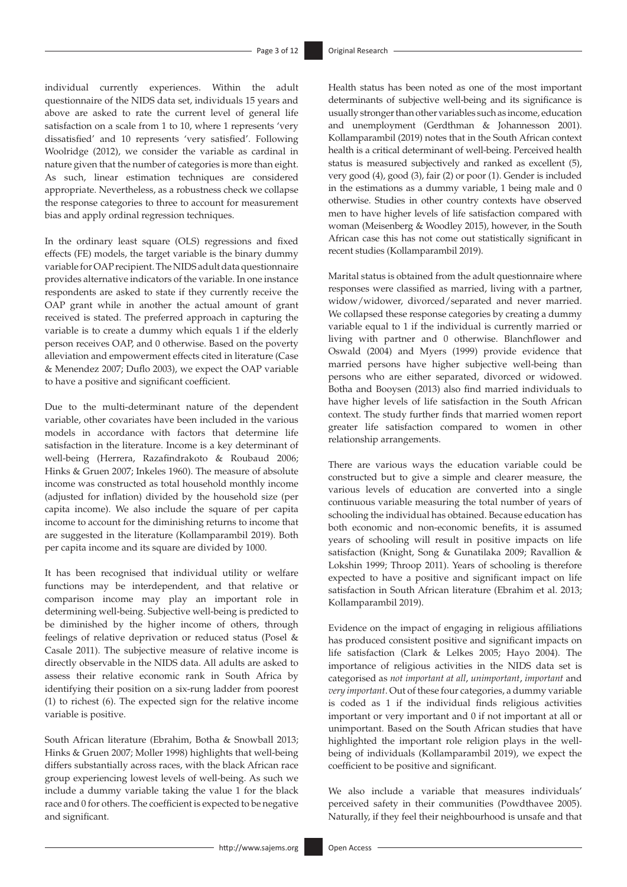individual currently experiences. Within the adult questionnaire of the NIDS data set, individuals 15 years and above are asked to rate the current level of general life satisfaction on a scale from 1 to 10, where 1 represents 'very dissatisfied' and 10 represents 'very satisfied'. Following Woolridge (2012), we consider the variable as cardinal in nature given that the number of categories is more than eight. As such, linear estimation techniques are considered appropriate. Nevertheless, as a robustness check we collapse the response categories to three to account for measurement bias and apply ordinal regression techniques.

In the ordinary least square (OLS) regressions and fixed effects (FE) models, the target variable is the binary dummy variable for OAP recipient. The NIDS adult data questionnaire provides alternative indicators of the variable. In one instance respondents are asked to state if they currently receive the OAP grant while in another the actual amount of grant received is stated. The preferred approach in capturing the variable is to create a dummy which equals 1 if the elderly person receives OAP, and 0 otherwise. Based on the poverty alleviation and empowerment effects cited in literature (Case & Menendez 2007; Duflo 2003), we expect the OAP variable to have a positive and significant coefficient.

Due to the multi-determinant nature of the dependent variable, other covariates have been included in the various models in accordance with factors that determine life satisfaction in the literature. Income is a key determinant of well-being (Herrera, Razafindrakoto & Roubaud 2006; Hinks & Gruen 2007; Inkeles 1960). The measure of absolute income was constructed as total household monthly income (adjusted for inflation) divided by the household size (per capita income). We also include the square of per capita income to account for the diminishing returns to income that are suggested in the literature (Kollamparambil 2019). Both per capita income and its square are divided by 1000.

It has been recognised that individual utility or welfare functions may be interdependent, and that relative or comparison income may play an important role in determining well-being. Subjective well-being is predicted to be diminished by the higher income of others, through feelings of relative deprivation or reduced status (Posel & Casale 2011). The subjective measure of relative income is directly observable in the NIDS data. All adults are asked to assess their relative economic rank in South Africa by identifying their position on a six-rung ladder from poorest (1) to richest (6). The expected sign for the relative income variable is positive.

South African literature (Ebrahim, Botha & Snowball 2013; Hinks & Gruen 2007; Moller 1998) highlights that well-being differs substantially across races, with the black African race group experiencing lowest levels of well-being. As such we include a dummy variable taking the value 1 for the black race and 0 for others. The coefficient is expected to be negative and significant.

Health status has been noted as one of the most important determinants of subjective well-being and its significance is usually stronger than other variables such as income, education and unemployment (Gerdthman & Johannesson 2001). Kollamparambil (2019) notes that in the South African context health is a critical determinant of well-being. Perceived health status is measured subjectively and ranked as excellent (5), very good (4), good (3), fair (2) or poor (1). Gender is included in the estimations as a dummy variable, 1 being male and 0 otherwise. Studies in other country contexts have observed men to have higher levels of life satisfaction compared with woman (Meisenberg & Woodley 2015), however, in the South African case this has not come out statistically significant in recent studies (Kollamparambil 2019).

Marital status is obtained from the adult questionnaire where responses were classified as married, living with a partner, widow/widower, divorced/separated and never married. We collapsed these response categories by creating a dummy variable equal to 1 if the individual is currently married or living with partner and 0 otherwise. Blanchflower and Oswald (2004) and Myers (1999) provide evidence that married persons have higher subjective well-being than persons who are either separated, divorced or widowed. Botha and Booysen (2013) also find married individuals to have higher levels of life satisfaction in the South African context. The study further finds that married women report greater life satisfaction compared to women in other relationship arrangements.

There are various ways the education variable could be constructed but to give a simple and clearer measure, the various levels of education are converted into a single continuous variable measuring the total number of years of schooling the individual has obtained. Because education has both economic and non-economic benefits, it is assumed years of schooling will result in positive impacts on life satisfaction (Knight, Song & Gunatilaka 2009; Ravallion & Lokshin 1999; Throop 2011). Years of schooling is therefore expected to have a positive and significant impact on life satisfaction in South African literature (Ebrahim et al. 2013; Kollamparambil 2019).

Evidence on the impact of engaging in religious affiliations has produced consistent positive and significant impacts on life satisfaction (Clark & Lelkes 2005; Hayo 2004). The importance of religious activities in the NIDS data set is categorised as *not important at all*, *unimportant*, *important* and *very important*. Out of these four categories, a dummy variable is coded as 1 if the individual finds religious activities important or very important and 0 if not important at all or unimportant. Based on the South African studies that have highlighted the important role religion plays in the wellbeing of individuals (Kollamparambil 2019), we expect the coefficient to be positive and significant.

We also include a variable that measures individuals' perceived safety in their communities (Powdthavee 2005). Naturally, if they feel their neighbourhood is unsafe and that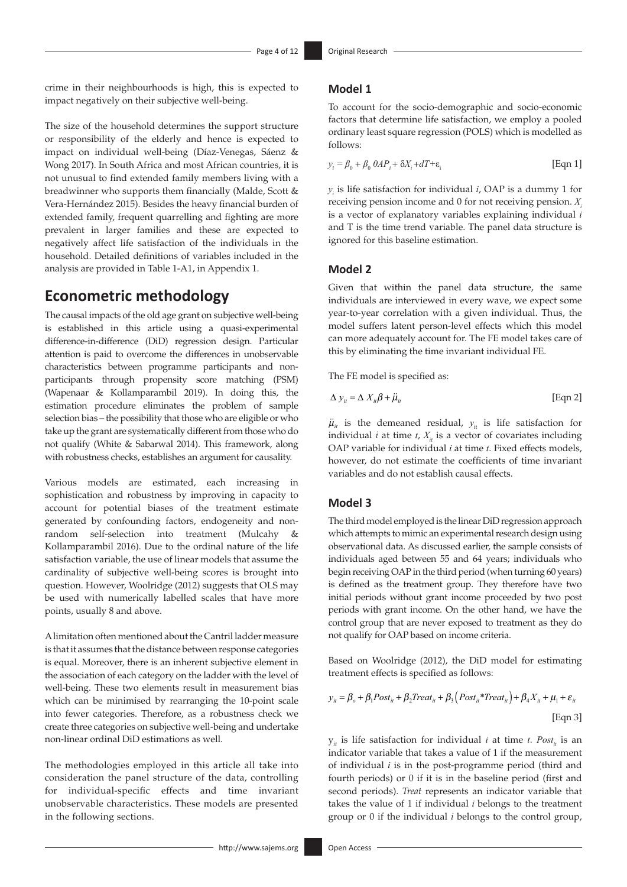crime in their neighbourhoods is high, this is expected to impact negatively on their subjective well-being.

The size of the household determines the support structure or responsibility of the elderly and hence is expected to impact on individual well-being (Díaz-Venegas, Sáenz & Wong 2017). In South Africa and most African countries, it is not unusual to find extended family members living with a breadwinner who supports them financially (Malde, Scott & Vera-Hernández 2015). Besides the heavy financial burden of extended family, frequent quarrelling and fighting are more prevalent in larger families and these are expected to negatively affect life satisfaction of the individuals in the household. Detailed definitions of variables included in the analysis are provided in Table 1-A1, in Appendix 1.

# **Econometric methodology**

The causal impacts of the old age grant on subjective well-being is established in this article using a quasi-experimental difference-in-difference (DiD) regression design. Particular attention is paid to overcome the differences in unobservable characteristics between programme participants and nonparticipants through propensity score matching (PSM) (Wapenaar & Kollamparambil 2019). In doing this, the estimation procedure eliminates the problem of sample selection bias – the possibility that those who are eligible or who take up the grant are systematically different from those who do not qualify (White & Sabarwal 2014). This framework, along with robustness checks, establishes an argument for causality.

Various models are estimated, each increasing in sophistication and robustness by improving in capacity to account for potential biases of the treatment estimate generated by confounding factors, endogeneity and nonrandom self-selection into treatment (Mulcahy & Kollamparambil 2016). Due to the ordinal nature of the life satisfaction variable, the use of linear models that assume the cardinality of subjective well-being scores is brought into question. However, Woolridge (2012) suggests that OLS may be used with numerically labelled scales that have more points, usually 8 and above.

A limitation often mentioned about the Cantril ladder measure is that it assumes that the distance between response categories is equal. Moreover, there is an inherent subjective element in the association of each category on the ladder with the level of well-being. These two elements result in measurement bias which can be minimised by rearranging the 10-point scale into fewer categories. Therefore, as a robustness check we create three categories on subjective well-being and undertake non-linear ordinal DiD estimations as well.

The methodologies employed in this article all take into consideration the panel structure of the data, controlling for individual-specific effects and time invariant unobservable characteristics. These models are presented in the following sections.

# **Model 1**

To account for the socio-demographic and socio-economic factors that determine life satisfaction, we employ a pooled ordinary least square regression (POLS) which is modelled as follows:

$$
y_i = \beta_0 + \beta_0 \ 0AP_i + \delta X_i + dT + \varepsilon_i \tag{Eqn 1}
$$

*yi* is life satisfaction for individual *i*, OAP is a dummy 1 for receiving pension income and 0 for not receiving pension. *X<sup>i</sup>* is a vector of explanatory variables explaining individual *i* and T is the time trend variable. The panel data structure is ignored for this baseline estimation.

# **Model 2**

Given that within the panel data structure, the same individuals are interviewed in every wave, we expect some year-to-year correlation with a given individual. Thus, the model suffers latent person-level effects which this model can more adequately account for. The FE model takes care of this by eliminating the time invariant individual FE.

The FE model is specified as:

$$
\Delta y_{it} = \Delta X_{it} \beta + \ddot{\mu}_{it} \tag{Eqn 2}
$$

 $\ddot{\mu}_{it}$  is the demeaned residual,  $y_{it}$  is life satisfaction for individual *i* at time *t*,  $X_i$  is a vector of covariates including OAP variable for individual *i* at time *t*. Fixed effects models, however, do not estimate the coefficients of time invariant variables and do not establish causal effects.

# **Model 3**

The third model employed is the linear DiD regression approach which attempts to mimic an experimental research design using observational data. As discussed earlier, the sample consists of individuals aged between 55 and 64 years; individuals who begin receiving OAP in the third period (when turning 60 years) is defined as the treatment group. They therefore have two initial periods without grant income proceeded by two post periods with grant income. On the other hand, we have the control group that are never exposed to treatment as they do not qualify for OAP based on income criteria.

Based on Woolridge (2012), the DiD model for estimating treatment effects is specified as follows:

$$
y_{ii} = \beta_o + \beta_1 Post_{ii} + \beta_2 Treat_{ii} + \beta_3 (Post_{ii} * Treat_{ii}) + \beta_4 X_{ii} + \mu_1 + \varepsilon_{ii}
$$
  
[Eqn 3]

 $y_{i}$  is life satisfaction for individual *i* at time *t*. *Post<sub>it</sub>* is an indicator variable that takes a value of 1 if the measurement of individual *i* is in the post-programme period (third and fourth periods) or 0 if it is in the baseline period (first and second periods). *Treat* represents an indicator variable that takes the value of 1 if individual *i* belongs to the treatment group or 0 if the individual *i* belongs to the control group,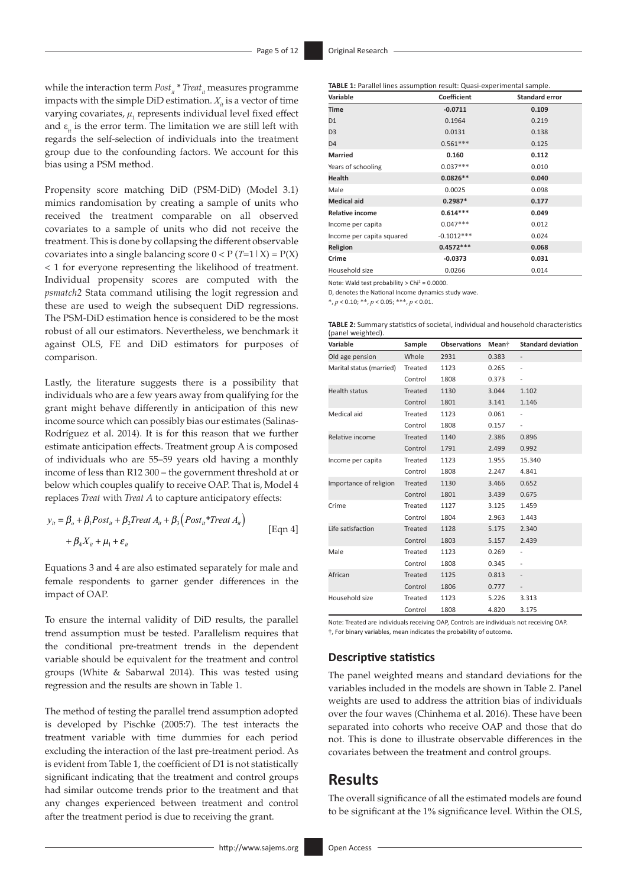while the interaction term  $Post_{i}$ <sup>\*</sup> *Treat<sub>i</sub>* measures programme impacts with the simple DiD estimation.  $X_i$  is a vector of time varying covariates, *μ*<sup>1</sup> represents individual level fixed effect and  $\varepsilon_{i}$  is the error term. The limitation we are still left with regards the self-selection of individuals into the treatment group due to the confounding factors. We account for this bias using a PSM method.

Propensity score matching DiD (PSM-DiD) (Model 3.1) mimics randomisation by creating a sample of units who received the treatment comparable on all observed covariates to a sample of units who did not receive the treatment. This is done by collapsing the different observable covariates into a single balancing score  $0 < P(T=1|X) = P(X)$ < 1 for everyone representing the likelihood of treatment. Individual propensity scores are computed with the *psmatch2* Stata command utilising the logit regression and these are used to weigh the subsequent DiD regressions. The PSM-DiD estimation hence is considered to be the most robust of all our estimators. Nevertheless, we benchmark it against OLS, FE and DiD estimators for purposes of comparison.

Lastly, the literature suggests there is a possibility that individuals who are a few years away from qualifying for the grant might behave differently in anticipation of this new income source which can possibly bias our estimates (Salinas-Rodríguez et al. 2014). It is for this reason that we further estimate anticipation effects. Treatment group A is composed of individuals who are 55–59 years old having a monthly income of less than R12 300 – the government threshold at or below which couples qualify to receive OAP. That is, Model 4 replaces *Treat* with *Treat A* to capture anticipatory effects:

$$
y_{ii} = \beta_o + \beta_1 Post_{ii} + \beta_2 Treat A_{ii} + \beta_3 (Post_{ii} * Treat A_{ii})
$$
  
+  $\beta_4 X_{ii} + \mu_1 + \varepsilon_{ii}$  [Eqn 4]

Equations 3 and 4 are also estimated separately for male and female respondents to garner gender differences in the impact of OAP.

To ensure the internal validity of DiD results, the parallel trend assumption must be tested. Parallelism requires that the conditional pre-treatment trends in the dependent variable should be equivalent for the treatment and control groups (White & Sabarwal 2014). This was tested using regression and the results are shown in Table 1.

The method of testing the parallel trend assumption adopted is developed by Pischke (2005:7). The test interacts the treatment variable with time dummies for each period excluding the interaction of the last pre-treatment period. As is evident from Table 1, the coefficient of D1 is not statistically significant indicating that the treatment and control groups had similar outcome trends prior to the treatment and that any changes experienced between treatment and control after the treatment period is due to receiving the grant.

| TABLE 1: Parallel lines assumption result: Quasi-experimental sample. |  |
|-----------------------------------------------------------------------|--|
|-----------------------------------------------------------------------|--|

| Variable                  | Coefficient  | <b>Standard error</b> |
|---------------------------|--------------|-----------------------|
| <b>Time</b>               | $-0.0711$    | 0.109                 |
| D1                        | 0.1964       | 0.219                 |
| D <sub>3</sub>            | 0.0131       | 0.138                 |
| D <sub>4</sub>            | $0.561***$   | 0.125                 |
| <b>Married</b>            | 0.160        | 0.112                 |
| Years of schooling        | $0.037***$   | 0.010                 |
| <b>Health</b>             | $0.0826**$   | 0.040                 |
| Male                      | 0.0025       | 0.098                 |
| <b>Medical aid</b>        | $0.2987*$    | 0.177                 |
| <b>Relative income</b>    | $0.614***$   | 0.049                 |
| Income per capita         | $0.047***$   | 0.012                 |
| Income per capita squared | $-0.1012***$ | 0.024                 |
| Religion                  | $0.4572***$  | 0.068                 |
| Crime                     | $-0.0373$    | 0.031                 |
| Household size            | 0.0266       | 0.014                 |

Note: Wald test probability > Chi $2 = 0.0000$ .

D, denotes the National Income dynamics study wave.

\*, *p* < 0.10; \*\*, *p* < 0.05; \*\*\*, *p* < 0.01.

**TABLE 2:** Summary statistics of societal, individual and household characteristics (panel weighted).

| Variable                 | Sample  | <b>Observations</b> | Mean <sup>+</sup> | <b>Standard deviation</b> |
|--------------------------|---------|---------------------|-------------------|---------------------------|
| Old age pension          | Whole   | 2931                | 0.383             | $\overline{\phantom{a}}$  |
| Marital status (married) | Treated | 1123                | 0.265             |                           |
|                          | Control | 1808                | 0.373             |                           |
| <b>Health status</b>     | Treated | 1130                | 3.044             | 1.102                     |
|                          | Control | 1801                | 3.141             | 1.146                     |
| Medical aid              | Treated | 1123                | 0.061             |                           |
|                          | Control | 1808                | 0.157             |                           |
| Relative income          | Treated | 1140                | 2.386             | 0.896                     |
|                          | Control | 1791                | 2.499             | 0.992                     |
| Income per capita        | Treated | 1123                | 1.955             | 15.340                    |
|                          | Control | 1808                | 2.247             | 4.841                     |
| Importance of religion   | Treated | 1130                | 3.466             | 0.652                     |
|                          | Control | 1801                | 3.439             | 0.675                     |
| Crime                    | Treated | 1127                | 3.125             | 1.459                     |
|                          | Control | 1804                | 2.963             | 1.443                     |
| Life satisfaction        | Treated | 1128                | 5.175             | 2.340                     |
|                          | Control | 1803                | 5.157             | 2.439                     |
| Male                     | Treated | 1123                | 0.269             |                           |
|                          | Control | 1808                | 0.345             |                           |
| African                  | Treated | 1125                | 0.813             | $\overline{\phantom{m}}$  |
|                          | Control | 1806                | 0.777             |                           |
| Household size           | Treated | 1123                | 5.226             | 3.313                     |
|                          | Control | 1808                | 4.820             | 3.175                     |

Note: Treated are individuals receiving OAP, Controls are individuals not receiving OAP. †, For binary variables, mean indicates the probability of outcome.

### **Descriptive statistics**

The panel weighted means and standard deviations for the variables included in the models are shown in Table 2. Panel weights are used to address the attrition bias of individuals over the four waves (Chinhema et al. 2016). These have been separated into cohorts who receive OAP and those that do not. This is done to illustrate observable differences in the covariates between the treatment and control groups.

# **Results**

The overall significance of all the estimated models are found to be significant at the 1% significance level. Within the OLS,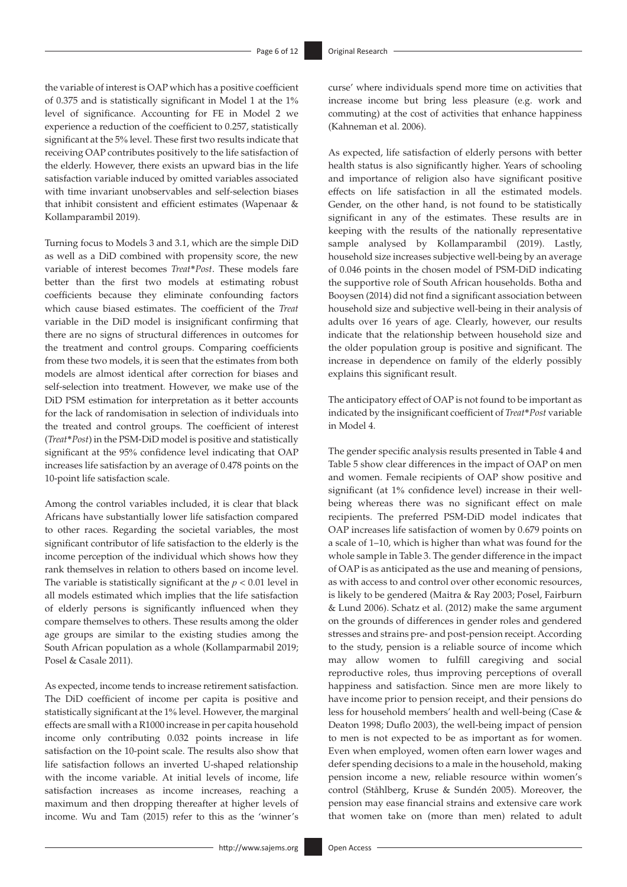the variable of interest is OAP which has a positive coefficient of 0.375 and is statistically significant in Model 1 at the 1% level of significance. Accounting for FE in Model 2 we experience a reduction of the coefficient to 0.257, statistically significant at the 5% level. These first two results indicate that receiving OAP contributes positively to the life satisfaction of the elderly. However, there exists an upward bias in the life satisfaction variable induced by omitted variables associated with time invariant unobservables and self-selection biases that inhibit consistent and efficient estimates (Wapenaar & Kollamparambil 2019).

Turning focus to Models 3 and 3.1, which are the simple DiD as well as a DiD combined with propensity score, the new variable of interest becomes *Treat*\**Post*. These models fare better than the first two models at estimating robust coefficients because they eliminate confounding factors which cause biased estimates. The coefficient of the *Treat* variable in the DiD model is insignificant confirming that there are no signs of structural differences in outcomes for the treatment and control groups. Comparing coefficients from these two models, it is seen that the estimates from both models are almost identical after correction for biases and self-selection into treatment. However, we make use of the DiD PSM estimation for interpretation as it better accounts for the lack of randomisation in selection of individuals into the treated and control groups. The coefficient of interest (*Treat*\**Post*) in the PSM-DiD model is positive and statistically significant at the 95% confidence level indicating that OAP increases life satisfaction by an average of 0.478 points on the 10-point life satisfaction scale.

Among the control variables included, it is clear that black Africans have substantially lower life satisfaction compared to other races. Regarding the societal variables, the most significant contributor of life satisfaction to the elderly is the income perception of the individual which shows how they rank themselves in relation to others based on income level. The variable is statistically significant at the *p* < 0.01 level in all models estimated which implies that the life satisfaction of elderly persons is significantly influenced when they compare themselves to others. These results among the older age groups are similar to the existing studies among the South African population as a whole (Kollamparmabil 2019; Posel & Casale 2011).

As expected, income tends to increase retirement satisfaction. The DiD coefficient of income per capita is positive and statistically significant at the 1% level. However, the marginal effects are small with a R1000 increase in per capita household income only contributing 0.032 points increase in life satisfaction on the 10-point scale. The results also show that life satisfaction follows an inverted U-shaped relationship with the income variable. At initial levels of income, life satisfaction increases as income increases, reaching a maximum and then dropping thereafter at higher levels of income. Wu and Tam (2015) refer to this as the 'winner's

curse' where individuals spend more time on activities that increase income but bring less pleasure (e.g. work and commuting) at the cost of activities that enhance happiness (Kahneman et al. 2006).

As expected, life satisfaction of elderly persons with better health status is also significantly higher. Years of schooling and importance of religion also have significant positive effects on life satisfaction in all the estimated models. Gender, on the other hand, is not found to be statistically significant in any of the estimates. These results are in keeping with the results of the nationally representative sample analysed by Kollamparambil (2019). Lastly, household size increases subjective well-being by an average of 0.046 points in the chosen model of PSM-DiD indicating the supportive role of South African households. Botha and Booysen (2014) did not find a significant association between household size and subjective well-being in their analysis of adults over 16 years of age. Clearly, however, our results indicate that the relationship between household size and the older population group is positive and significant. The increase in dependence on family of the elderly possibly explains this significant result.

The anticipatory effect of OAP is not found to be important as indicated by the insignificant coefficient of *Treat*\**Post* variable in Model 4.

The gender specific analysis results presented in Table 4 and Table 5 show clear differences in the impact of OAP on men and women. Female recipients of OAP show positive and significant (at 1% confidence level) increase in their wellbeing whereas there was no significant effect on male recipients. The preferred PSM-DiD model indicates that OAP increases life satisfaction of women by 0.679 points on a scale of 1–10, which is higher than what was found for the whole sample in Table 3. The gender difference in the impact of OAP is as anticipated as the use and meaning of pensions, as with access to and control over other economic resources, is likely to be gendered (Maitra & Ray 2003; Posel, Fairburn & Lund 2006). Schatz et al. (2012) make the same argument on the grounds of differences in gender roles and gendered stresses and strains pre- and post-pension receipt. According to the study, pension is a reliable source of income which may allow women to fulfill caregiving and social reproductive roles, thus improving perceptions of overall happiness and satisfaction. Since men are more likely to have income prior to pension receipt, and their pensions do less for household members' health and well-being (Case & Deaton 1998; Duflo 2003), the well-being impact of pension to men is not expected to be as important as for women. Even when employed, women often earn lower wages and defer spending decisions to a male in the household, making pension income a new, reliable resource within women's control (Ståhlberg, Kruse & Sundén 2005). Moreover, the pension may ease financial strains and extensive care work that women take on (more than men) related to adult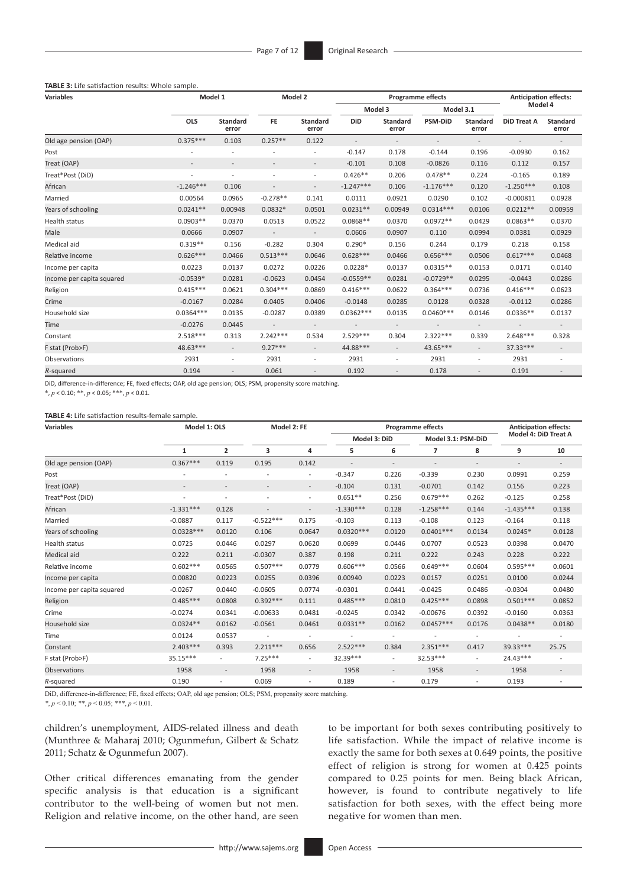#### **TABLE 3:** Life satisfaction results: Whole sample.

| <b>Variables</b>          | Model 1     |                          |                          | Model 2                  | Programme effects        |                          |                          |                          | <b>Anticipation effects:</b> |                          |
|---------------------------|-------------|--------------------------|--------------------------|--------------------------|--------------------------|--------------------------|--------------------------|--------------------------|------------------------------|--------------------------|
|                           |             |                          |                          |                          | Model 3                  |                          | Model 3.1                |                          | Model 4                      |                          |
|                           | OLS         | <b>Standard</b><br>error | <b>FE</b>                | <b>Standard</b><br>error | DiD                      | <b>Standard</b><br>error | <b>PSM-DiD</b>           | <b>Standard</b><br>error | <b>DiD Treat A</b>           | <b>Standard</b><br>error |
| Old age pension (OAP)     | $0.375***$  | 0.103                    | $0.257**$                | 0.122                    |                          | $\overline{\phantom{a}}$ | $\overline{\phantom{a}}$ |                          |                              |                          |
| Post                      |             |                          |                          | $\overline{\phantom{a}}$ | $-0.147$                 | 0.178                    | $-0.144$                 | 0.196                    | $-0.0930$                    | 0.162                    |
| Treat (OAP)               |             |                          |                          |                          | $-0.101$                 | 0.108                    | $-0.0826$                | 0.116                    | 0.112                        | 0.157                    |
| Treat*Post (DiD)          |             | $\overline{\phantom{a}}$ |                          | ٠                        | $0.426**$                | 0.206                    | $0.478**$                | 0.224                    | $-0.165$                     | 0.189                    |
| African                   | $-1.246***$ | 0.106                    |                          |                          | $-1.247***$              | 0.106                    | $-1.176***$              | 0.120                    | $-1.250***$                  | 0.108                    |
| Married                   | 0.00564     | 0.0965                   | $-0.278**$               | 0.141                    | 0.0111                   | 0.0921                   | 0.0290                   | 0.102                    | $-0.000811$                  | 0.0928                   |
| Years of schooling        | $0.0241**$  | 0.00948                  | $0.0832*$                | 0.0501                   | $0.0231**$               | 0.00949                  | $0.0314***$              | 0.0106                   | $0.0212**$                   | 0.00959                  |
| Health status             | $0.0903**$  | 0.0370                   | 0.0513                   | 0.0522                   | $0.0868**$               | 0.0370                   | $0.0972**$               | 0.0429                   | $0.0863**$                   | 0.0370                   |
| Male                      | 0.0666      | 0.0907                   | $\overline{a}$           |                          | 0.0606                   | 0.0907                   | 0.110                    | 0.0994                   | 0.0381                       | 0.0929                   |
| Medical aid               | $0.319**$   | 0.156                    | $-0.282$                 | 0.304                    | $0.290*$                 | 0.156                    | 0.244                    | 0.179                    | 0.218                        | 0.158                    |
| Relative income           | $0.626***$  | 0.0466                   | $0.513***$               | 0.0646                   | $0.628***$               | 0.0466                   | $0.656***$               | 0.0506                   | $0.617***$                   | 0.0468                   |
| Income per capita         | 0.0223      | 0.0137                   | 0.0272                   | 0.0226                   | $0.0228*$                | 0.0137                   | $0.0315**$               | 0.0153                   | 0.0171                       | 0.0140                   |
| Income per capita squared | $-0.0539*$  | 0.0281                   | $-0.0623$                | 0.0454                   | $-0.0559**$              | 0.0281                   | $-0.0729**$              | 0.0295                   | $-0.0443$                    | 0.0286                   |
| Religion                  | $0.415***$  | 0.0621                   | $0.304***$               | 0.0869                   | $0.416***$               | 0.0622                   | $0.364***$               | 0.0736                   | $0.416***$                   | 0.0623                   |
| Crime                     | $-0.0167$   | 0.0284                   | 0.0405                   | 0.0406                   | $-0.0148$                | 0.0285                   | 0.0128                   | 0.0328                   | $-0.0112$                    | 0.0286                   |
| Household size            | $0.0364***$ | 0.0135                   | $-0.0287$                | 0.0389                   | $0.0362***$              | 0.0135                   | $0.0460***$              | 0.0146                   | $0.0336**$                   | 0.0137                   |
| <b>Time</b>               | $-0.0276$   | 0.0445                   | $\overline{\phantom{a}}$ | $\overline{\phantom{a}}$ | $\overline{\phantom{m}}$ | $\overline{\phantom{a}}$ | $\overline{\phantom{a}}$ | $\overline{\phantom{a}}$ |                              | $\overline{\phantom{a}}$ |
| Constant                  | $2.518***$  | 0.313                    | $2.242***$               | 0.534                    | $2.529***$               | 0.304                    | $2.322***$               | 0.339                    | $2.648***$                   | 0.328                    |
| F stat (Prob>F)           | 48.63***    | $\overline{\phantom{a}}$ | $9.27***$                | $\overline{\phantom{a}}$ | 44.88***                 | $\overline{\phantom{a}}$ | $43.65***$               | $\overline{\phantom{a}}$ | 37.33***                     | $\overline{\phantom{a}}$ |
| Observations              | 2931        | $\overline{\phantom{a}}$ | 2931                     | $\overline{\phantom{0}}$ | 2931                     | $\overline{\phantom{a}}$ | 2931                     | $\overline{\phantom{a}}$ | 2931                         |                          |
| $R$ -squared              | 0.194       | $\overline{\phantom{a}}$ | 0.061                    | $\overline{\phantom{a}}$ | 0.192                    | $\overline{\phantom{a}}$ | 0.178                    | $\overline{\phantom{a}}$ | 0.191                        |                          |

DiD, difference-in-difference; FE, fixed effects; OAP, old age pension; OLS; PSM, propensity score matching.

\*, *p* < 0.10; \*\*, *p* < 0.05; \*\*\*, *p* < 0.01.

#### **TABLE 4:** Life satisfaction results-female sample.

| Variables                 |                          | Model 1: OLS<br>Model 2: FE |                          |                          |              | <b>Programme effects</b> | <b>Anticipation effects:</b> |                          |                      |        |
|---------------------------|--------------------------|-----------------------------|--------------------------|--------------------------|--------------|--------------------------|------------------------------|--------------------------|----------------------|--------|
|                           |                          |                             |                          |                          | Model 3: DiD |                          | Model 3.1: PSM-DiD           |                          | Model 4: DiD Treat A |        |
|                           | $\mathbf{1}$             | $\overline{2}$              | 3                        | 4                        | 5            | 6                        | $\overline{ }$               | 8                        | 9                    | 10     |
| Old age pension (OAP)     | $0.367***$               | 0.119                       | 0.195                    | 0.142                    |              | $\overline{\phantom{a}}$ | $\overline{\phantom{m}}$     | $\overline{\phantom{0}}$ |                      |        |
| Post                      |                          | $\overline{\phantom{0}}$    |                          | ٠                        | $-0.347$     | 0.226                    | $-0.339$                     | 0.230                    | 0.0991               | 0.259  |
| Treat (OAP)               | $\overline{\phantom{a}}$ | $\overline{\phantom{a}}$    | $\overline{\phantom{a}}$ | $\sim$                   | $-0.104$     | 0.131                    | $-0.0701$                    | 0.142                    | 0.156                | 0.223  |
| Treat*Post (DiD)          |                          | $\overline{\phantom{a}}$    |                          | $\overline{\phantom{a}}$ | $0.651**$    | 0.256                    | $0.679***$                   | 0.262                    | $-0.125$             | 0.258  |
| African                   | $-1.331***$              | 0.128                       |                          |                          | $-1.330***$  | 0.128                    | $-1.258***$                  | 0.144                    | $-1.435***$          | 0.138  |
| Married                   | $-0.0887$                | 0.117                       | $-0.522***$              | 0.175                    | $-0.103$     | 0.113                    | $-0.108$                     | 0.123                    | $-0.164$             | 0.118  |
| Years of schooling        | $0.0328***$              | 0.0120                      | 0.106                    | 0.0647                   | $0.0320***$  | 0.0120                   | $0.0401***$                  | 0.0134                   | $0.0245*$            | 0.0128 |
| Health status             | 0.0725                   | 0.0446                      | 0.0297                   | 0.0620                   | 0.0699       | 0.0446                   | 0.0707                       | 0.0523                   | 0.0398               | 0.0470 |
| Medical aid               | 0.222                    | 0.211                       | $-0.0307$                | 0.387                    | 0.198        | 0.211                    | 0.222                        | 0.243                    | 0.228                | 0.222  |
| Relative income           | $0.602***$               | 0.0565                      | $0.507***$               | 0.0779                   | $0.606***$   | 0.0566                   | $0.649***$                   | 0.0604                   | $0.595***$           | 0.0601 |
| Income per capita         | 0.00820                  | 0.0223                      | 0.0255                   | 0.0396                   | 0.00940      | 0.0223                   | 0.0157                       | 0.0251                   | 0.0100               | 0.0244 |
| Income per capita squared | $-0.0267$                | 0.0440                      | $-0.0605$                | 0.0774                   | $-0.0301$    | 0.0441                   | $-0.0425$                    | 0.0486                   | $-0.0304$            | 0.0480 |
| Religion                  | $0.485***$               | 0.0808                      | $0.392***$               | 0.111                    | $0.485***$   | 0.0810                   | $0.425***$                   | 0.0898                   | $0.501***$           | 0.0852 |
| Crime                     | $-0.0274$                | 0.0341                      | $-0.00633$               | 0.0481                   | $-0.0245$    | 0.0342                   | $-0.00676$                   | 0.0392                   | $-0.0160$            | 0.0363 |
| Household size            | $0.0324**$               | 0.0162                      | $-0.0561$                | 0.0461                   | $0.0331**$   | 0.0162                   | $0.0457***$                  | 0.0176                   | $0.0438**$           | 0.0180 |
| Time                      | 0.0124                   | 0.0537                      | $\sim$                   | $\sim$                   | $\sim$       | $\sim$                   | $\overline{a}$               |                          | $\overline{a}$       | $\sim$ |
| Constant                  | $2.403***$               | 0.393                       | $2.211***$               | 0.656                    | $2.522***$   | 0.384                    | $2.351***$                   | 0.417                    | 39.33***             | 25.75  |
| F stat (Prob>F)           | 35.15***                 | $\overline{\phantom{a}}$    | $7.25***$                | $\sim$                   | 32.39***     | $\overline{\phantom{a}}$ | 32.53***                     | $\overline{a}$           | 24.43***             | $\sim$ |
| Observations              | 1958                     | $\overline{\phantom{a}}$    | 1958                     | $\overline{a}$           | 1958         |                          | 1958                         | $\overline{\phantom{0}}$ | 1958                 |        |
| R-squared                 | 0.190                    |                             | 0.069                    |                          | 0.189        |                          | 0.179                        | $\overline{a}$           | 0.193                |        |

DiD, difference-in-difference; FE, fixed effects; OAP, old age pension; OLS; PSM, propensity score matching.

*\**, *p* < 0.10; *\*\**, *p* < 0.05; *\*\*\**, *p* < 0.01.

children's unemployment, AIDS-related illness and death (Munthree & Maharaj 2010; Ogunmefun, Gilbert & Schatz 2011; Schatz & Ogunmefun 2007).

Other critical differences emanating from the gender specific analysis is that education is a significant contributor to the well-being of women but not men. Religion and relative income, on the other hand, are seen

to be important for both sexes contributing positively to life satisfaction. While the impact of relative income is exactly the same for both sexes at 0.649 points, the positive effect of religion is strong for women at 0.425 points compared to 0.25 points for men. Being black African, however, is found to contribute negatively to life satisfaction for both sexes, with the effect being more negative for women than men.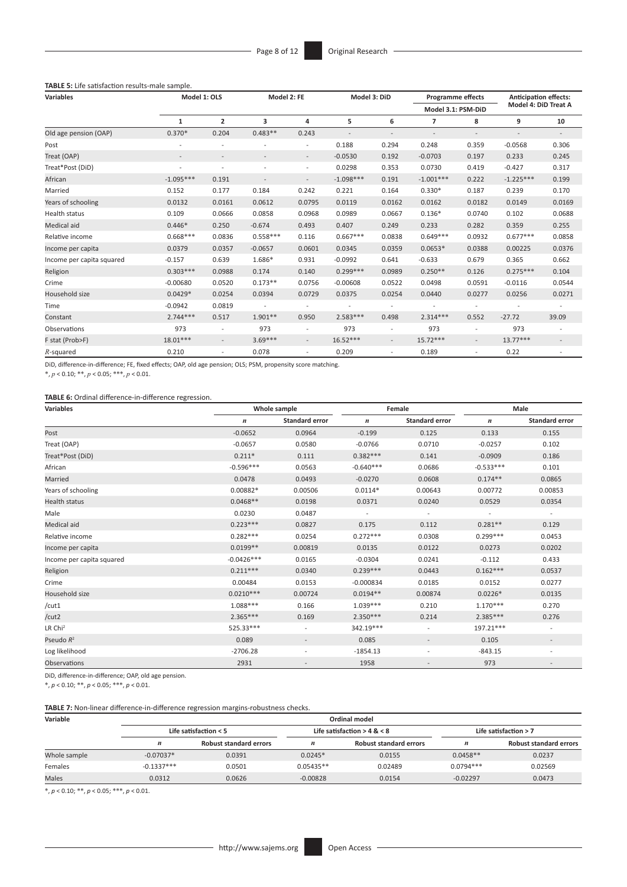#### **TABLE 5:** Life satisfaction results-male sample.

| <b>Variables</b>          |              | Model 2: FE<br>Model 1: OLS |            | Model 3: DiD             |             | <b>Programme effects</b> |                          | <b>Anticipation effects:</b> |                      |                          |
|---------------------------|--------------|-----------------------------|------------|--------------------------|-------------|--------------------------|--------------------------|------------------------------|----------------------|--------------------------|
|                           |              |                             |            |                          |             |                          | Model 3.1: PSM-DiD       |                              | Model 4: DiD Treat A |                          |
|                           | $\mathbf{1}$ | $\overline{2}$              | 3          | 4                        | 5           | 6                        | 7                        | 8                            | 9                    | 10                       |
| Old age pension (OAP)     | $0.370*$     | 0.204                       | $0.483**$  | 0.243                    |             |                          | $\overline{a}$           |                              |                      |                          |
| Post                      |              |                             |            | $\overline{\phantom{a}}$ | 0.188       | 0.294                    | 0.248                    | 0.359                        | $-0.0568$            | 0.306                    |
| Treat (OAP)               |              |                             |            | $\overline{a}$           | $-0.0530$   | 0.192                    | $-0.0703$                | 0.197                        | 0.233                | 0.245                    |
| Treat*Post (DiD)          | ۰            | $\sim$                      |            | $\overline{\phantom{a}}$ | 0.0298      | 0.353                    | 0.0730                   | 0.419                        | $-0.427$             | 0.317                    |
| African                   | $-1.095***$  | 0.191                       |            | $\overline{\phantom{a}}$ | $-1.098***$ | 0.191                    | $-1.001***$              | 0.222                        | $-1.225***$          | 0.199                    |
| Married                   | 0.152        | 0.177                       | 0.184      | 0.242                    | 0.221       | 0.164                    | $0.330*$                 | 0.187                        | 0.239                | 0.170                    |
| Years of schooling        | 0.0132       | 0.0161                      | 0.0612     | 0.0795                   | 0.0119      | 0.0162                   | 0.0162                   | 0.0182                       | 0.0149               | 0.0169                   |
| Health status             | 0.109        | 0.0666                      | 0.0858     | 0.0968                   | 0.0989      | 0.0667                   | $0.136*$                 | 0.0740                       | 0.102                | 0.0688                   |
| Medical aid               | $0.446*$     | 0.250                       | $-0.674$   | 0.493                    | 0.407       | 0.249                    | 0.233                    | 0.282                        | 0.359                | 0.255                    |
| Relative income           | $0.668***$   | 0.0836                      | $0.558***$ | 0.116                    | $0.667***$  | 0.0838                   | $0.649***$               | 0.0932                       | $0.677***$           | 0.0858                   |
| Income per capita         | 0.0379       | 0.0357                      | $-0.0657$  | 0.0601                   | 0.0345      | 0.0359                   | $0.0653*$                | 0.0388                       | 0.00225              | 0.0376                   |
| Income per capita squared | $-0.157$     | 0.639                       | 1.686*     | 0.931                    | $-0.0992$   | 0.641                    | $-0.633$                 | 0.679                        | 0.365                | 0.662                    |
| Religion                  | $0.303***$   | 0.0988                      | 0.174      | 0.140                    | $0.299***$  | 0.0989                   | $0.250**$                | 0.126                        | $0.275***$           | 0.104                    |
| Crime                     | $-0.00680$   | 0.0520                      | $0.173**$  | 0.0756                   | $-0.00608$  | 0.0522                   | 0.0498                   | 0.0591                       | $-0.0116$            | 0.0544                   |
| Household size            | $0.0429*$    | 0.0254                      | 0.0394     | 0.0729                   | 0.0375      | 0.0254                   | 0.0440                   | 0.0277                       | 0.0256               | 0.0271                   |
| Time                      | $-0.0942$    | 0.0819                      |            |                          |             | $\overline{\phantom{0}}$ | $\overline{\phantom{a}}$ |                              | $\overline{a}$       |                          |
| Constant                  | $2.744***$   | 0.517                       | $1.901**$  | 0.950                    | $2.583***$  | 0.498                    | $2.314***$               | 0.552                        | $-27.72$             | 39.09                    |
| Observations              | 973          |                             | 973        |                          | 973         | -                        | 973                      |                              | 973                  |                          |
| F stat (Prob>F)           | 18.01***     | $\sim$                      | $3.69***$  | $\overline{a}$           | $16.52***$  | $\overline{\phantom{a}}$ | $15.72***$               | $\overline{\phantom{a}}$     | $13.77***$           |                          |
| $R$ -squared              | 0.210        | $\sim$                      | 0.078      | $\overline{\phantom{a}}$ | 0.209       | $\overline{\phantom{0}}$ | 0.189                    | $\overline{\phantom{a}}$     | 0.22                 | $\overline{\phantom{a}}$ |

DiD, difference-in-difference; FE, fixed effects; OAP, old age pension; OLS; PSM, propensity score matching.

 $^*, p < 0.10;$   $^{**}, p < 0.05;$   $^{***}, p < 0.01.$ 

### **TABLE 6:** Ordinal difference-in-difference regression.

| <b>Variables</b>          |                  | Whole sample             |                  | Female                   | Male             |                          |  |
|---------------------------|------------------|--------------------------|------------------|--------------------------|------------------|--------------------------|--|
|                           | $\boldsymbol{n}$ | <b>Standard error</b>    | $\boldsymbol{n}$ | <b>Standard error</b>    | $\boldsymbol{n}$ | <b>Standard error</b>    |  |
| Post                      | $-0.0652$        | 0.0964                   | $-0.199$         | 0.125                    | 0.133            | 0.155                    |  |
| Treat (OAP)               | $-0.0657$        | 0.0580                   | $-0.0766$        | 0.0710                   | $-0.0257$        | 0.102                    |  |
| Treat*Post (DiD)          | $0.211*$         | 0.111                    | $0.382***$       | 0.141                    | $-0.0909$        | 0.186                    |  |
| African                   | $-0.596***$      | 0.0563                   | $-0.640***$      | 0.0686                   | $-0.533***$      | 0.101                    |  |
| Married                   | 0.0478           | 0.0493                   | $-0.0270$        | 0.0608                   | $0.174**$        | 0.0865                   |  |
| Years of schooling        | $0.00882*$       | 0.00506                  | $0.0114*$        | 0.00643                  | 0.00772          | 0.00853                  |  |
| <b>Health status</b>      | $0.0468**$       | 0.0198                   | 0.0371           | 0.0240                   | 0.0529           | 0.0354                   |  |
| Male                      | 0.0230           | 0.0487                   | $\sim$           | $\overline{\phantom{a}}$ | $\sim$           | $\overline{\phantom{a}}$ |  |
| Medical aid               | $0.223***$       | 0.0827                   | 0.175            | 0.112                    | $0.281**$        | 0.129                    |  |
| Relative income           | $0.282***$       | 0.0254                   | $0.272***$       | 0.0308                   | $0.299***$       | 0.0453                   |  |
| Income per capita         | $0.0199**$       | 0.00819                  | 0.0135           | 0.0122                   | 0.0273           | 0.0202                   |  |
| Income per capita squared | $-0.0426***$     | 0.0165                   | $-0.0304$        | 0.0241                   | $-0.112$         | 0.433                    |  |
| Religion                  | $0.211***$       | 0.0340                   | $0.239***$       | 0.0443                   | $0.162***$       | 0.0537                   |  |
| Crime                     | 0.00484          | 0.0153                   | $-0.000834$      | 0.0185                   | 0.0152           | 0.0277                   |  |
| Household size            | $0.0210***$      | 0.00724                  | $0.0194**$       | 0.00874                  | $0.0226*$        | 0.0135                   |  |
| /cut1                     | $1.088***$       | 0.166                    | 1.039 ***        | 0.210                    | $1.170***$       | 0.270                    |  |
| /cut2                     | $2.365***$       | 0.169                    | $2.350***$       | 0.214                    | $2.385***$       | 0.276                    |  |
| LR Chi <sup>2</sup>       | 525.33***        | ÷,                       | 342.19***        | $\overline{\phantom{a}}$ | 197.21 ***       | $\overline{\phantom{a}}$ |  |
| Pseudo $R^2$              | 0.089            | $\overline{\phantom{a}}$ | 0.085            | $\overline{\phantom{a}}$ | 0.105            | $\overline{a}$           |  |
| Log likelihood            | $-2706.28$       | $\overline{\phantom{a}}$ | $-1854.13$       | $\overline{\phantom{a}}$ | $-843.15$        | $\overline{\phantom{a}}$ |  |
| Observations              | 2931             | $\overline{\phantom{a}}$ | 1958             |                          | 973              | $\overline{a}$           |  |

DiD, difference-in-difference; OAP, old age pension.

\*, *p* < 0.10; \*\*, *p* < 0.05; \*\*\*, *p* < 0.01.

# **TABLE 7:** Non-linear difference-in-difference regression margins-robustness checks.

| Ordinal model |                        |                         |                               |                              |                               |  |  |  |  |
|---------------|------------------------|-------------------------|-------------------------------|------------------------------|-------------------------------|--|--|--|--|
|               |                        |                         |                               | Life satisfaction $> 7$      |                               |  |  |  |  |
| n             | Robust standard errors | $\boldsymbol{n}$        | <b>Robust standard errors</b> | n                            | <b>Robust standard errors</b> |  |  |  |  |
| $-0.07037*$   | 0.0391                 | $0.0245*$               | 0.0155                        | $0.0458**$                   | 0.0237                        |  |  |  |  |
| $-0.1337***$  | 0.0501                 | $0.05435**$             | 0.02489                       | $0.0794***$                  | 0.02569                       |  |  |  |  |
| 0.0312        | 0.0626                 | $-0.00828$              | 0.0154                        | $-0.02297$                   | 0.0473                        |  |  |  |  |
|               |                        | Life satisfaction $< 5$ |                               | Life satisfaction $> 4 \< 8$ |                               |  |  |  |  |

\*, *p* < 0.10; \*\*, *p* < 0.05; \*\*\*, *p* < 0.01.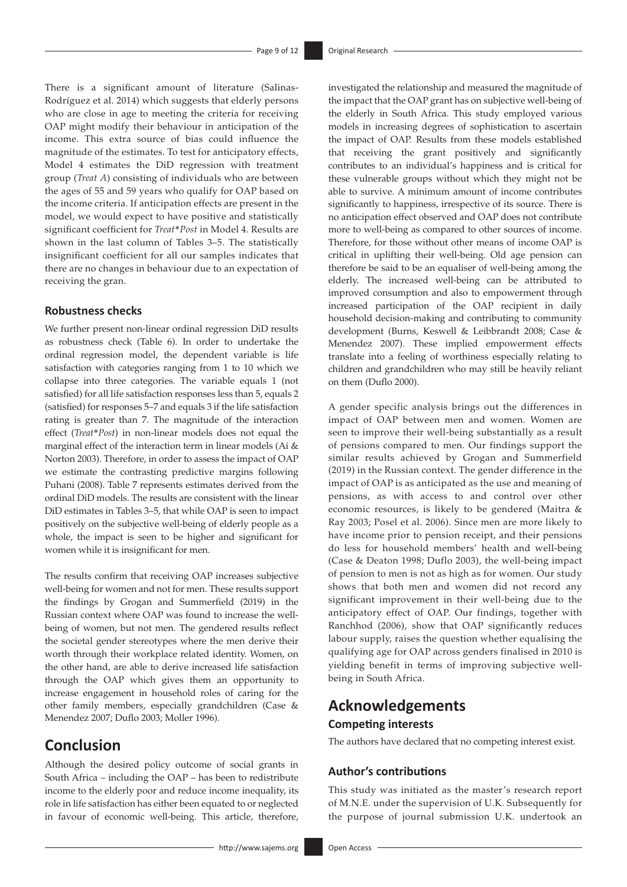There is a significant amount of literature (Salinas-Rodríguez et al. 2014) which suggests that elderly persons who are close in age to meeting the criteria for receiving OAP might modify their behaviour in anticipation of the income. This extra source of bias could influence the magnitude of the estimates. To test for anticipatory effects, Model 4 estimates the DiD regression with treatment group (*Treat A*) consisting of individuals who are between the ages of 55 and 59 years who qualify for OAP based on the income criteria. If anticipation effects are present in the model, we would expect to have positive and statistically significant coefficient for *Treat*\**Post* in Model 4. Results are shown in the last column of Tables 3–5. The statistically insignificant coefficient for all our samples indicates that there are no changes in behaviour due to an expectation of receiving the gran.

### **Robustness checks**

We further present non-linear ordinal regression DiD results as robustness check (Table 6). In order to undertake the ordinal regression model, the dependent variable is life satisfaction with categories ranging from 1 to 10 which we collapse into three categories. The variable equals 1 (not satisfied) for all life satisfaction responses less than 5, equals 2 (satisfied) for responses 5–7 and equals 3 if the life satisfaction rating is greater than 7. The magnitude of the interaction effect (*Treat*\**Post*) in non-linear models does not equal the marginal effect of the interaction term in linear models (Ai & Norton 2003). Therefore, in order to assess the impact of OAP we estimate the contrasting predictive margins following Puhani (2008). Table 7 represents estimates derived from the ordinal DiD models. The results are consistent with the linear DiD estimates in Tables 3–5, that while OAP is seen to impact positively on the subjective well-being of elderly people as a whole, the impact is seen to be higher and significant for women while it is insignificant for men.

The results confirm that receiving OAP increases subjective well-being for women and not for men. These results support the findings by Grogan and Summerfield (2019) in the Russian context where OAP was found to increase the wellbeing of women, but not men. The gendered results reflect the societal gender stereotypes where the men derive their worth through their workplace related identity. Women, on the other hand, are able to derive increased life satisfaction through the OAP which gives them an opportunity to increase engagement in household roles of caring for the other family members, especially grandchildren (Case & Menendez 2007; Duflo 2003; Moller 1996).

# **Conclusion**

Although the desired policy outcome of social grants in South Africa – including the OAP – has been to redistribute income to the elderly poor and reduce income inequality, its role in life satisfaction has either been equated to or neglected in favour of economic well-being. This article, therefore, investigated the relationship and measured the magnitude of the impact that the OAP grant has on subjective well-being of the elderly in South Africa. This study employed various models in increasing degrees of sophistication to ascertain the impact of OAP. Results from these models established that receiving the grant positively and significantly contributes to an individual's happiness and is critical for these vulnerable groups without which they might not be able to survive. A minimum amount of income contributes significantly to happiness, irrespective of its source. There is no anticipation effect observed and OAP does not contribute more to well-being as compared to other sources of income. Therefore, for those without other means of income OAP is critical in uplifting their well-being. Old age pension can therefore be said to be an equaliser of well-being among the elderly. The increased well-being can be attributed to improved consumption and also to empowerment through increased participation of the OAP recipient in daily household decision-making and contributing to community development (Burns, Keswell & Leibbrandt 2008; Case & Menendez 2007). These implied empowerment effects translate into a feeling of worthiness especially relating to children and grandchildren who may still be heavily reliant on them (Duflo 2000).

A gender specific analysis brings out the differences in impact of OAP between men and women. Women are seen to improve their well-being substantially as a result of pensions compared to men. Our findings support the similar results achieved by Grogan and Summerfield (2019) in the Russian context. The gender difference in the impact of OAP is as anticipated as the use and meaning of pensions, as with access to and control over other economic resources, is likely to be gendered (Maitra & Ray 2003; Posel et al. 2006). Since men are more likely to have income prior to pension receipt, and their pensions do less for household members' health and well-being (Case & Deaton 1998; Duflo 2003), the well-being impact of pension to men is not as high as for women. Our study shows that both men and women did not record any significant improvement in their well-being due to the anticipatory effect of OAP. Our findings, together with Ranchhod (2006), show that OAP significantly reduces labour supply, raises the question whether equalising the qualifying age for OAP across genders finalised in 2010 is yielding benefit in terms of improving subjective wellbeing in South Africa.

# **Acknowledgements**

### **Competing interests**

The authors have declared that no competing interest exist.

### **Author's contributions**

This study was initiated as the master's research report of M.N.E. under the supervision of U.K. Subsequently for the purpose of journal submission U.K. undertook an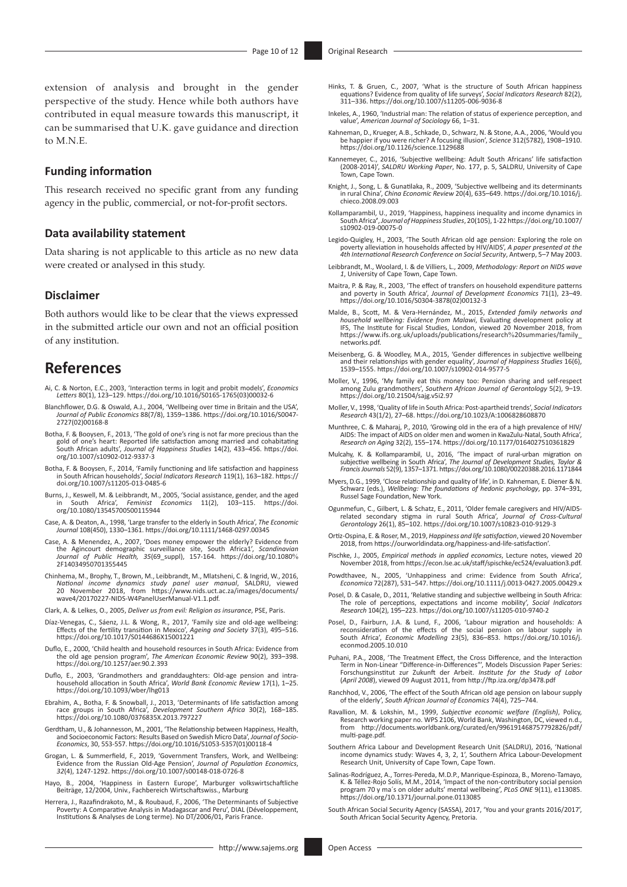extension of analysis and brought in the gender perspective of the study. Hence while both authors have contributed in equal measure towards this manuscript, it can be summarised that U.K. gave guidance and direction to M.N.E.

### **Funding information**

This research received no specific grant from any funding agency in the public, commercial, or not-for-profit sectors.

#### **Data availability statement**

Data sharing is not applicable to this article as no new data were created or analysed in this study.

#### **Disclaimer**

Both authors would like to be clear that the views expressed in the submitted article our own and not an official position of any institution.

# **References**

- Ai, C. & Norton, E.C., 2003, 'Interaction terms in logit and probit models', *Economics Letters* 80(1), 123–129. [https://doi.org/10.1016/S0165-1765\(03\)00032-6](https://doi.org/10.1016/S0165-1765(03)00032-6)
- Blanchflower, D.G. & Oswald, A.J., 2004, 'Wellbeing over time in Britain and the USA', *Journal of Public Economics* 88(7/8), 1359–1386. [https://doi.org/10.1016/S0047-](https://doi.org/10.1016/S0047-2727(02)00168-8) [2727\(02\)00168-8](https://doi.org/10.1016/S0047-2727(02)00168-8)
- Botha, F. & Booysen, F., 2013, 'The gold of one's ring is not far more precious than the gold of one's heart: Reported life satisfaction among married and cohabitating South African adults', *Journal of Happiness Studies* 14(2), 433–456. [https://doi.](https://doi.org/10.1007/s10902-012-9337-3) [org/10.1007/s10902-012-9337-3](https://doi.org/10.1007/s10902-012-9337-3)
- Botha, F. & Booysen, F., 2014, 'Family functioning and life satisfaction and happiness in South African households', *Social Indicators Research* 119(1), 163–182. [https://](https://doi.org/10.1007/s11205-013-0485-6) [doi.org/10.1007/s11205-013-0485-6](https://doi.org/10.1007/s11205-013-0485-6)
- Burns, J., Keswell, M. & Leibbrandt, M., 2005, 'Social assistance, gender, and the aged in South Africa', *Feminist Economics* 11(2), 103–115. [https://doi.](https://doi.org/10.1080/13545700500115944) [org/10.1080/13545700500115944](https://doi.org/10.1080/13545700500115944)
- Case, A. & Deaton, A., 1998, 'Large transfer to the elderly in South Africa', *The Economic Journal* 108(450), 1330–1361.<https://doi.org/10.1111/1468-0297.00345>
- Case, A. & Menendez, A., 2007, 'Does money empower the elderly? Evidence from the Agincourt demographic surveillance site, South Africa1', *Scandinavian Journal of Public Health, 35*(69\_suppl), 157-164. [https://doi.org/10.1080](https://doi.org/10.1080%2F14034950701355445)% [2F14034950701355445](https://doi.org/10.1080%2F14034950701355445)
- Chinhema, M., Brophy, T., Brown, M., Leibbrandt, M., Mlatsheni, C. & Ingrid, W., 2016, *National income dynamics study panel user manual*, SALDRU, viewed 20 November 2018, from [https://www.nids.uct.ac.za/images/documents/](https://www.nids.uct.ac.za/images/documents/wave4/20170227-NIDS-W4PanelUserManual-V1.1.pdf) [wave4/20170227-NIDS-W4PanelUserManual-V1.1.pdf](https://www.nids.uct.ac.za/images/documents/wave4/20170227-NIDS-W4PanelUserManual-V1.1.pdf).
- Clark, A. & Lelkes, O., 2005, *Deliver us from evil: Religion as insurance*, PSE, Paris.
- Díaz-Venegas, C., Sáenz, J.L. & Wong, R., 2017, 'Family size and old-age wellbeing: Effects of the fertility transition in Mexico', *Ageing and Society* 37(3), 495–516. <https://doi.org/10.1017/S0144686X15001221>
- Duflo, E., 2000, 'Child health and household resources in South Africa: Evidence from the old age pension program', *The American Economic Review* 90(2), 393–398. <https://doi.org/10.1257/aer.90.2.393>
- Duflo, E., 2003, 'Grandmothers and granddaughters: Old-age pension and intra-household allocation in South Africa', *World Bank Economic Review* 17(1), 1–25. <https://doi.org/10.1093/wber/lhg013>
- Ebrahim, A., Botha, F. & Snowball, J., 2013, 'Determinants of life satisfaction among race groups in South Africa', *Development Southern Africa* 30(2), 168–185. <https://doi.org/10.1080/0376835X.2013.797227>
- Gerdtham, U., & Johannesson, M., 2001, 'The Relationship between Happiness, Health, and Socioeconomic Factors: Results Based on Swedish Micro Data', *Journal of Socio-Economics*, 30, 553-557. [https://doi.org/10.1016/S1053-5357\(01\)00118-4](https://doi.org/10.1016/S1053-5357(01)00118-4)
- Grogan, L. & Summerfield, F., 2019, 'Government Transfers, Work, and Wellbeing: Evidence from the Russian Old-Age Pension', *Journal of Population Economics*, *32*(4), 1247-1292. <https://doi.org/10.1007/s00148-018-0726-8>
- Hayo, B., 2004, 'Happiness in Eastern Europe', Marburger volkswirtschaftliche Beiträge, 12/2004, Univ., Fachbereich Wirtschaftswiss., Marburg
- Herrera, J., Razafindrakoto, M., & Roubaud, F., 2006, 'The Determinants of Subjective Poverty: A Comparative Analysis in Madagascar and Peru', DIAL (Développement, Institutions & Analyses de Long terme). No DT/2006/01, Paris France.
- Hinks, T. & Gruen, C., 2007, 'What is the structure of South African happiness equations? Evidence from quality of life surveys', *Social Indicators Research* 82(2), 311–336.<https://doi.org/10.1007/s11205-006-9036-8>
- Inkeles, A., 1960, 'Industrial man: The relation of status of experience perception, and value', *American Journal of Sociology* 66, 1–31.
- Kahneman, D., Krueger, A.B., Schkade, D., Schwarz, N. & Stone, A.A., 2006, 'Would you be happier if you were richer? A focusing illusion', *Science* 312(5782), 1908–1910. <https://doi.org/10.1126/science.1129688>
- Kannemeyer, C., 2016, 'Subjective wellbeing: Adult South Africans' life satisfaction (2008-2014)', *SALDRU Working Paper*, No. 177, p. 5, SALDRU, University of Cape Town, Cape Town.
- Knight, J., Song, L. & Gunatilaka, R., 2009, 'Subjective wellbeing and its determinants in rural China', *China Economic Review* 20(4), 635–649. [https://doi.org/10.1016/j.](https://doi.org/10.1016/j.chieco.2008.09.003) [chieco.2008.09.003](https://doi.org/10.1016/j.chieco.2008.09.003)
- Kollamparambil, U., 2019, 'Happiness, happiness inequality and income dynamics in South Africa**'**, *Journal of Happiness Studies*, 20(105), 1-22 [https://doi.org/10.1007/](https://doi.org/10.1007/s10902-019-00075-0) [s10902-019-00075-0](https://doi.org/10.1007/s10902-019-00075-0)
- Legido-Quigley, H., 2003, 'The South African old age pension: Exploring the role on poverty alleviation in households affected by HIV/AIDS', *A paper presented at the 4th International Research Conference on Social Security*, Antwerp, 5–7 May 2003.
- Leibbrandt, M., Woolard, I. & de Villiers, L., 2009, *Methodology: Report on NIDS wave 1*, University of Cape Town, Cape Town.
- Maitra, P. & Ray, R., 2003, 'The effect of transfers on household expenditure patterns and poverty in South Africa', *Journal of Development Economics* 71(1), 23–49. [https://doi.org/10.1016/S0304-3878\(02\)00132-3](https://doi.org/10.1016/S0304-3878(02)00132-3)
- Malde, B., Scott, M. & Vera-Hernández, M., 2015, Extended family networks and<br>household wellbeing: Evidence from Malawi, Evaluating development policy at<br>IFS, The Institute for Fiscal Studies, London, viewed 20 November 20 [https://www.ifs.org.uk/uploads/publications/research](https://www.ifs.org.uk/uploads/publications/research%20summaries/family_networks.pdf)%20summaries/family\_ [networks.pdf](https://www.ifs.org.uk/uploads/publications/research%20summaries/family_networks.pdf).
- Meisenberg, G. & Woodley, M.A., 2015, 'Gender differences in subjective wellb and their relationships with gender equality', *Journal of Happiness Studies* 16(6), 1539–1555.<https://doi.org/10.1007/s10902-014-9577-5>
- Moller, V., 1996, 'My family eat this money too: Pension sharing and self-respect among Zulu grandmothers', *Southern African Journal of Gerontology* 5(2), 9–19. <https://doi.org/10.21504/sajg.v5i2.97>
- Moller, V., 1998, 'Quality of life in South Africa: Post-apartheid trends', *Social Indicators Research* 43(1/2), 27–68. <https://doi.org/10.1023/A>:1006828608870
- Munthree, C. & Maharaj, P., 2010, 'Growing old in the era of a high prevalence of HIV/ AIDS: The impact of AIDS on older men and women in KwaZulu-Natal, South Africa', *Research on Aging* 32(2), 155–174. [https://doi.org/10.1177/0164027510361829](https://doi.org/10.1177/016402​7510361829)
- Mulcahy, K. & Kollamparambil, U., 2016, 'The impact of rural-urban migration on subjective wellbeing in South Africa', *The Journal of Development Studies, Taylor & Francis Journals* 52(9), 1357–1371.<https://doi.org/10.1080/00220388.2016.1171844>
- Myers, D.G., 1999, 'Close relationship and quality of life', in D. Kahneman, E. Diener & N. Schwarz (eds.), *Wellbeing: The foundations of hedonic psychology*, pp. 374–391, Russel Sage Foundation, New York.
- Ogunmefun, C., Gilbert, L. & Schatz, E., 2011, 'Older female caregivers and HIV/AIDSrelated secondary stigma in rural South Africa', *Journal of Cross-Cultural Gerontology* 26(1), 85–102. <https://doi.org/10.1007/s10823-010-9129-3>
- Ortiz-Ospina, E. & Roser, M., 2019, *Happiness and life satisfaction*, viewed 20November 2018, from [https://ourworldindata.org/happiness-and-life-satisfaction'](https://ourworldindata.org/happiness-and-life-satisfaction’).
- Pischke, J., 2005, *Empirical methods in applied economics*, Lecture notes, viewed 20 November 2018, from [https://econ.lse.ac.uk/staff/spischke/ec524/evaluation3.pdf.](https://econ.lse.ac.uk/staff/spischke/ec524/evaluation3.pdf)
- Powdthavee, N., 2005, 'Unhappiness and crime: Evidence from South Africa', *Economica* 72(287), 531–547.<https://doi.org/10.1111/j.0013-0427.2005.00429.x>
- Posel, D. & Casale, D., 2011, 'Relative standing and subjective wellbeing in South Africa: The role of perceptions, expectations and income mobility', *Social Indicators Research* 104(2), 195–223.<https://doi.org/10.1007/s11205-010-9740-2>
- Posel, D., Fairburn, J.A. & Lund, F., 2006, 'Labour migration and households: A reconsideration of the effects of the social pension on labour supply in South Africa', *Economic Modelling* 23(5), 836–853. [https://doi.org/10.1016/j.](https://doi.org/10.1016/j.econmod.2005.10.010) [econmod.2005.10.010](https://doi.org/10.1016/j.econmod.2005.10.010)
- Puhani, P.A., 2008, 'The Treatment Effect, the Cross Difference, and the Interaction Term in Non-Linear "Difference-in-Differences"', Models Discussion Paper Series: Forschungsinstitut zur Zukunft der Arbeit. *Institute for the Study of Labor*  (*April 2008*), viewed 09 August 2011, from<http://ftp.iza.org/dp3478.pdf>
- Ranchhod, V., 2006, 'The effect of the South African old age pension on labour supply of the elderly', *South African Journal of Economics* 74(4), 725–744.
- Ravallion, M. & Lokshin, M., 1999, *Subjective economic welfare (English)*, Policy, Research working paper no. WPS 2106, World Bank, Washington, DC, viewed n.d., from [http://documents.worldbank.org/curated/en/996191468757792826/pdf/](http://documents.worldbank.org/curated/en/996191468757792826/pdf/multi-page.pdf) [multi-page.pdf.](http://documents.worldbank.org/curated/en/996191468757792826/pdf/multi-page.pdf)
- Southern Africa Labour and Development Research Unit (SALDRU), 2016, 'National income dynamics study: Waves 4, 3, 2, 1', Southern Africa Labour-Development Research Unit, University of Cape Town, Cape Town.
- Salinas-Rodríguez, A., Torres-Pereda, M.D.P., Manrique-Espinoza, B., Moreno-Tamayo, K. & Téllez-Rojo Solís, M.M., 2014, 'Impact of the non-contributory social pension program 70 y ma´s on older adults' mental wellbeing', *PLoS ONE* 9(11), e113085. <https://doi.org/10.1371/journal.pone.0113085>
- South African Social Security Agency (SASSA), 2017, 'You and your grants 2016/2017', South African Social Security Agency, Pretoria.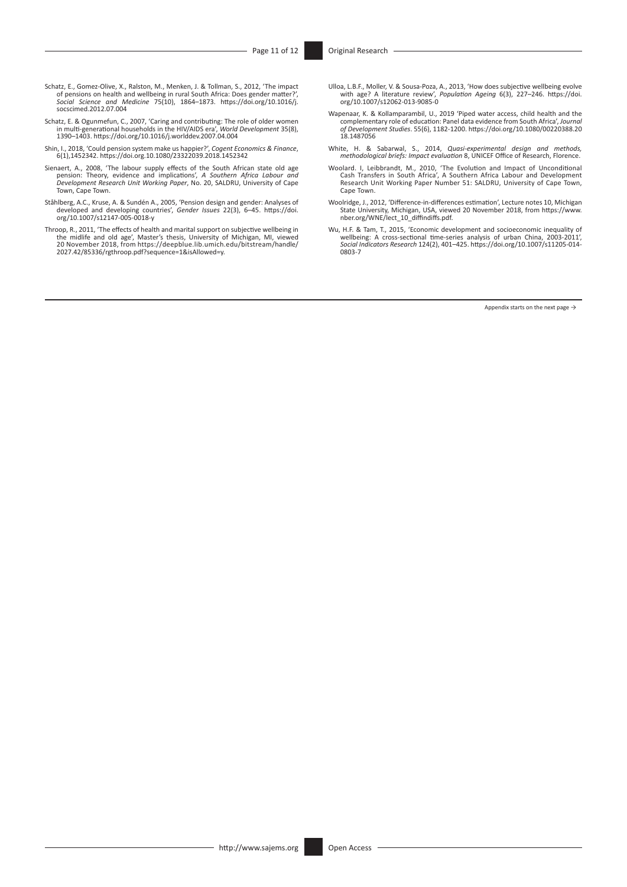- Schatz, E., Gomez-Olive, X., Ralston, M., Menken, J. & Tollman, S., 2012, 'The impact of pensions on health and wellbeing in rural South Africa: Does gender matter?', *Social Science and Medicine* 75(10), 1864–1873. [https://doi.org/10.1016/j.](https://doi.org/10.1016/j.socscimed.2012.07.004) [socscimed.2012.07.004](https://doi.org/10.1016/j.socscimed.2012.07.004)
- Schatz, E. & Ogunmefun, C., 2007, 'Caring and contributing: The role of older women in multi-generational households in the HIV/AIDS era', *World Development* 35(8), 1390–1403.<https://doi.org/10.1016/j.worlddev.2007.04.004>
- Shin, I., 2018, 'Could pension system make us happier?', *Cogent Economics & Finance*, 6(1),1452342.<https://doi.org.10.1080/23322039.2018.1452342>
- Sienaert, A., 2008, 'The labour supply effects of the South African state old age pension: Theory, evidence and implications', *A Southern Africa Labour and Development Research Unit Working Paper*, No. 20, SALDRU, University of Cape Town, Cape Town.
- Ståhlberg, A.C., Kruse, A. & Sundén A., 2005, 'Pension design and gender: Analyses of developed and developing countries', *Gender Issues* 22(3), 6–45. [https://doi.](https://doi.org/10.1007/s12147-005-0018-y) [org/10.1007/s12147-005-0018-y](https://doi.org/10.1007/s12147-005-0018-y)
- Throop, R., 2011, 'The effects of health and marital support on subjective wellbeing in<br>the midlife and old age', Master's thesis, University of Michigan, MI, viewed<br>20 November 2018, from https://deepblue.lib.umich.edu/bi
- Ulloa, L.B.F., Moller, V. & Sousa-Poza, A., 2013, 'How does subjective wellbeing evolve with age? A literature review', *Population Ageing* 6(3), 227–246. [https://doi.](https://doi.org/10.1007/s12062-013-9085-0) [org/10.1007/s12062-013-9085-0](https://doi.org/10.1007/s12062-013-9085-0)
- Wapenaar, K. & Kollamparambil, U., 2019 'Piped water access, child health and the complementary role of education: Panel data evidence from South Africa', *Journal of Development Studies*. 55(6), 1182-1200. [https://doi.org/10.1080/00220388.20](https://doi.org/10.1080/00220388.2018.1487056) [18.1487056](https://doi.org/10.1080/00220388.2018.1487056)
- White, H. & Sabarwal, S., 2014, *Quasi-experimental design and methods, methodological briefs: Impact evaluation* 8, UNICEF Office of Research, Florence.
- Woolard. I, Leibbrandt, M., 2010, 'The Evolution and Impact of Unconditional Cash Transfers in South Africa', A Southern Africa Labour and Development Research Unit Working Paper Number 51: SALDRU, University of Cape Town, Cape Town.
- Woolridge, J., 2012, 'Difference-in-differences estimation', Lecture notes 10, Michigan State University, Michigan, USA, viewed 20 November 2018, from [https://www.](https://www.nber.org/WNE/lect_10_diffindiffs.pdf) [nber.org/WNE/lect\\_10\\_diffindiffs.pdf.](https://www.nber.org/WNE/lect_10_diffindiffs.pdf)
- Wu, H.F. & Tam, T., 2015, 'Economic development and socioeconomic inequality of wellbeing: A cross-sectional time-series analysis of urban China, 2003-2011', *Social Indicators Research* 124(2), 401–425. [https://doi.org/10.1007/s11205-014-](https://doi.org/10.1007/s11205-014-0803-7) [0803-7](https://doi.org/10.1007/s11205-014-0803-7)

Appendix starts on the next page  $\rightarrow$